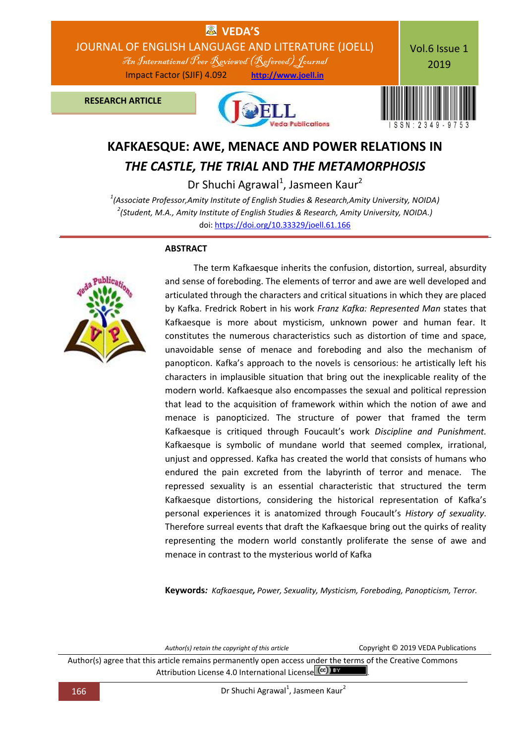

# **KAFKAESQUE: AWE, MENACE AND POWER RELATIONS IN** *THE CASTLE, THE TRIAL* **AND** *THE METAMORPHOSIS*

Dr Shuchi Agrawal<sup>1</sup>, Jasmeen Kaur<sup>2</sup>

*1 (Associate Professor,Amity Institute of English Studies & Research,Amity University, NOIDA) 2 (Student, M.A., Amity Institute of English Studies & Research, Amity University, NOIDA.)*  doi[: https://doi.org/10.33329/joell.61.166](http://joell.in/vol-6-issue-1-2019/)

### **ABSTRACT**



 The term Kafkaesque inherits the confusion, distortion, surreal, absurdity and sense of foreboding. The elements of terror and awe are well developed and articulated through the characters and critical situations in which they are placed by Kafka. Fredrick Robert in his work *Franz Kafka: Represented Man* states that Kafkaesque is more about mysticism, unknown power and human fear. It constitutes the numerous characteristics such as distortion of time and space, unavoidable sense of menace and foreboding and also the mechanism of panopticon. Kafka's approach to the novels is censorious: he artistically left his characters in implausible situation that bring out the inexplicable reality of the modern world. Kafkaesque also encompasses the sexual and political repression that lead to the acquisition of framework within which the notion of awe and menace is panopticized. The structure of power that framed the term Kafkaesque is critiqued through Foucault's work *Discipline and Punishment.*  Kafkaesque is symbolic of mundane world that seemed complex, irrational, unjust and oppressed. Kafka has created the world that consists of humans who endured the pain excreted from the labyrinth of terror and menace. The repressed sexuality is an essential characteristic that structured the term Kafkaesque distortions, considering the historical representation of Kafka's personal experiences it is anatomized through Foucault's *History of sexuality*. Therefore surreal events that draft the Kafkaesque bring out the quirks of reality representing the modern world constantly proliferate the sense of awe and menace in contrast to the mysterious world of Kafka

**Keywords***: Kafkaesque, Power, Sexuality, Mysticism, Foreboding, Panopticism, Terror.*

*Author(s) retain the copyright of this article* Copyright © 2019 VEDA Publications Author(s) agree that this article remains permanently open access under the terms of the Creative Commons Attribution License 4.0 International License (cc) BY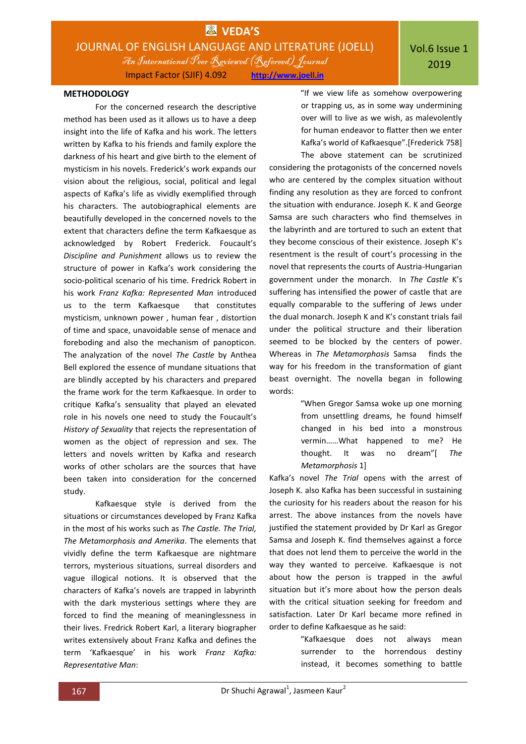### **METHODOLOGY**

For the concerned research the descriptive method has been used as it allows us to have a deep insight into the life of Kafka and his work. The letters written by Kafka to his friends and family explore the darkness of his heart and give birth to the element of mysticism in his novels. Frederick's work expands our vision about the religious, social, political and legal aspects of Kafka's life as vividly exemplified through his characters. The autobiographical elements are beautifully developed in the concerned novels to the extent that characters define the term Kafkaesque as acknowledged by Robert Frederick. Foucault's *Discipline and Punishment* allows us to review the structure of power in Kafka's work considering the socio-political scenario of his time. Fredrick Robert in his work *Franz Kafka: Represented Man* introduced us to the term Kafkaesque that constitutes mysticism, unknown power , human fear , distortion of time and space, unavoidable sense of menace and foreboding and also the mechanism of panopticon. The analyzation of the novel *The Castle* by Anthea Bell explored the essence of mundane situations that are blindly accepted by his characters and prepared the frame work for the term Kafkaesque. In order to critique Kafka's sensuality that played an elevated role in his novels one need to study the Foucault's *History of Sexuality* that rejects the representation of women as the object of repression and sex. The letters and novels written by Kafka and research works of other scholars are the sources that have been taken into consideration for the concerned study.

Kafkaesque style is derived from the situations or circumstances developed by Franz Kafka in the most of his works such as *The Castle. The Trial, The Metamorphosis and Amerika*. The elements that vividly define the term Kafkaesque are nightmare terrors, mysterious situations, surreal disorders and vague illogical notions. It is observed that the characters of Kafka's novels are trapped in labyrinth with the dark mysterious settings where they are forced to find the meaning of meaninglessness in their lives. Fredrick Robert Karl, a literary biographer writes extensively about Franz Kafka and defines the term 'Kafkaesque' in his work *Franz Kafka: Representative Man*:

"If we view life as somehow overpowering or trapping us, as in some way undermining over will to live as we wish, as malevolently for human endeavor to flatter then we enter Kafka's world of Kafkaesque".[Frederick 758] The above statement can be scrutinized

considering the protagonists of the concerned novels who are centered by the complex situation without finding any resolution as they are forced to confront the situation with endurance. Joseph K. K and George Samsa are such characters who find themselves in the labyrinth and are tortured to such an extent that they become conscious of their existence. Joseph K's resentment is the result of court's processing in the novel that represents the courts of Austria-Hungarian government under the monarch. In *The Castle* K's suffering has intensified the power of castle that are equally comparable to the suffering of Jews under the dual monarch. Joseph K and K's constant trials fail under the political structure and their liberation seemed to be blocked by the centers of power. Whereas in *The Metamorphosis* Samsa finds the way for his freedom in the transformation of giant beast overnight. The novella began in following words:

> "When Gregor Samsa woke up one morning from unsettling dreams, he found himself changed in his bed into a monstrous vermin……What happened to me? He thought. It was no dream"[ *The Metamorphosis* 1]

Kafka's novel *The Trial* opens with the arrest of Joseph K. also Kafka has been successful in sustaining the curiosity for his readers about the reason for his arrest. The above instances from the novels have justified the statement provided by Dr Karl as Gregor Samsa and Joseph K. find themselves against a force that does not lend them to perceive the world in the way they wanted to perceive. Kafkaesque is not about how the person is trapped in the awful situation but it's more about how the person deals with the critical situation seeking for freedom and satisfaction. Later Dr Karl became more refined in order to define Kafkaesque as he said:

> "Kafkaesque does not always mean surrender to the horrendous destiny instead, it becomes something to battle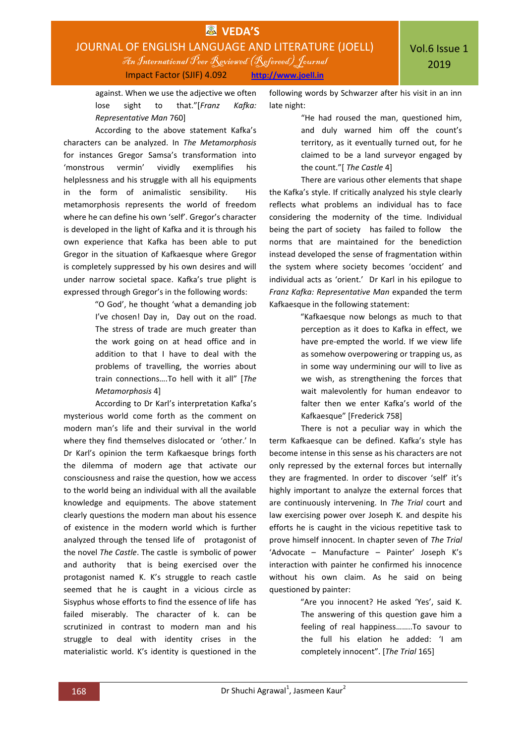

against. When we use the adjective we often lose sight to that."[*Franz Kafka: Representative Man* 760]

According to the above statement Kafka's characters can be analyzed. In *The Metamorphosis* for instances Gregor Samsa's transformation into 'monstrous vermin' vividly exemplifies his helplessness and his struggle with all his equipments in the form of animalistic sensibility. His metamorphosis represents the world of freedom where he can define his own 'self'. Gregor's character is developed in the light of Kafka and it is through his own experience that Kafka has been able to put Gregor in the situation of Kafkaesque where Gregor is completely suppressed by his own desires and will under narrow societal space. Kafka's true plight is expressed through Gregor's in the following words:

> "O God', he thought 'what a demanding job I've chosen! Day in, Day out on the road. The stress of trade are much greater than the work going on at head office and in addition to that I have to deal with the problems of travelling, the worries about train connections….To hell with it all" [*The Metamorphosis* 4]

According to Dr Karl's interpretation Kafka's mysterious world come forth as the comment on modern man's life and their survival in the world where they find themselves dislocated or 'other.' In Dr Karl's opinion the term Kafkaesque brings forth the dilemma of modern age that activate our consciousness and raise the question, how we access to the world being an individual with all the available knowledge and equipments. The above statement clearly questions the modern man about his essence of existence in the modern world which is further analyzed through the tensed life of protagonist of the novel *The Castle*. The castle is symbolic of power and authority that is being exercised over the protagonist named K. K's struggle to reach castle seemed that he is caught in a vicious circle as Sisyphus whose efforts to find the essence of life has failed miserably. The character of k. can be scrutinized in contrast to modern man and his struggle to deal with identity crises in the materialistic world. K's identity is questioned in the

following words by Schwarzer after his visit in an inn late night:

> "He had roused the man, questioned him, and duly warned him off the count's territory, as it eventually turned out, for he claimed to be a land surveyor engaged by the count."[ *The Castle* 4]

There are various other elements that shape the Kafka's style. If critically analyzed his style clearly reflects what problems an individual has to face considering the modernity of the time. Individual being the part of society has failed to follow the norms that are maintained for the benediction instead developed the sense of fragmentation within the system where society becomes 'occident' and individual acts as 'orient.' Dr Karl in his epilogue to *Franz Kafka: Representative Man* expanded the term Kafkaesque in the following statement:

> "Kafkaesque now belongs as much to that perception as it does to Kafka in effect, we have pre-empted the world. If we view life as somehow overpowering or trapping us, as in some way undermining our will to live as we wish, as strengthening the forces that wait malevolently for human endeavor to falter then we enter Kafka's world of the Kafkaesque" [Frederick 758]

There is not a peculiar way in which the term Kafkaesque can be defined. Kafka's style has become intense in this sense as his characters are not only repressed by the external forces but internally they are fragmented. In order to discover 'self' it's highly important to analyze the external forces that are continuously intervening. In *The Trial* court and law exercising power over Joseph K. and despite his efforts he is caught in the vicious repetitive task to prove himself innocent. In chapter seven of *The Trial* 'Advocate – Manufacture – Painter' Joseph K's interaction with painter he confirmed his innocence without his own claim. As he said on being questioned by painter:

> "Are you innocent? He asked 'Yes', said K. The answering of this question gave him a feeling of real happiness……..To savour to the full his elation he added: 'I am completely innocent". [*The Trial* 165]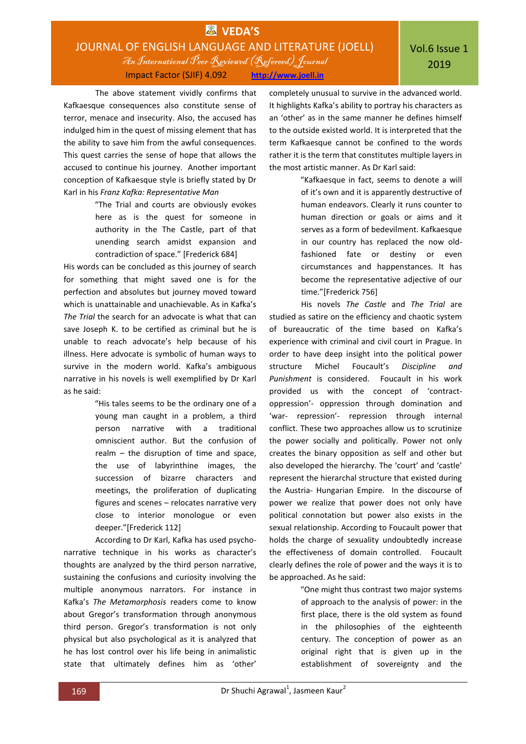# **EX** VEDA'S JOURNAL OF ENGLISH LANGUAGE AND LITERATURE (JOELL) An International Peer Reviewed (Refereed)Journal Impact Factor (SJIF) 4.092 **http://www.joell.in**

The above statement vividly confirms that Kafkaesque consequences also constitute sense of terror, menace and insecurity. Also, the accused has indulged him in the quest of missing element that has the ability to save him from the awful consequences. This quest carries the sense of hope that allows the accused to continue his journey. Another important conception of Kafkaesque style is briefly stated by Dr Karl in his *Franz Kafka: Representative Man*

> "The Trial and courts are obviously evokes here as is the quest for someone in authority in the The Castle, part of that unending search amidst expansion and contradiction of space." [Frederick 684]

His words can be concluded as this journey of search for something that might saved one is for the perfection and absolutes but journey moved toward which is unattainable and unachievable. As in Kafka's *The Trial* the search for an advocate is what that can save Joseph K. to be certified as criminal but he is unable to reach advocate's help because of his illness. Here advocate is symbolic of human ways to survive in the modern world. Kafka's ambiguous narrative in his novels is well exemplified by Dr Karl as he said:

> "His tales seems to be the ordinary one of a young man caught in a problem, a third person narrative with a traditional omniscient author. But the confusion of realm – the disruption of time and space, the use of labyrinthine images, the succession of bizarre characters and meetings, the proliferation of duplicating figures and scenes – relocates narrative very close to interior monologue or even deeper."[Frederick 112]

According to Dr Karl, Kafka has used psychonarrative technique in his works as character's thoughts are analyzed by the third person narrative, sustaining the confusions and curiosity involving the multiple anonymous narrators. For instance in Kafka's *The Metamorphosis* readers come to know about Gregor's transformation through anonymous third person. Gregor's transformation is not only physical but also psychological as it is analyzed that he has lost control over his life being in animalistic state that ultimately defines him as 'other'

completely unusual to survive in the advanced world. It highlights Kafka's ability to portray his characters as an 'other' as in the same manner he defines himself to the outside existed world. It is interpreted that the term Kafkaesque cannot be confined to the words rather it is the term that constitutes multiple layers in the most artistic manner. As Dr Karl said:

> "Kafkaesque in fact, seems to denote a will of it's own and it is apparently destructive of human endeavors. Clearly it runs counter to human direction or goals or aims and it serves as a form of bedevilment. Kafkaesque in our country has replaced the now oldfashioned fate or destiny or even circumstances and happenstances. It has become the representative adjective of our time."[Frederick 756]

His novels *The Castle* and *The Trial* are studied as satire on the efficiency and chaotic system of bureaucratic of the time based on Kafka's experience with criminal and civil court in Prague. In order to have deep insight into the political power structure Michel Foucault's *Discipline and Punishment* is considered. Foucault in his work provided us with the concept of 'contractoppression'- oppression through domination and 'war- repression'- repression through internal conflict. These two approaches allow us to scrutinize the power socially and politically. Power not only creates the binary opposition as self and other but also developed the hierarchy. The 'court' and 'castle' represent the hierarchal structure that existed during the Austria- Hungarian Empire. In the discourse of power we realize that power does not only have political connotation but power also exists in the sexual relationship. According to Foucault power that holds the charge of sexuality undoubtedly increase the effectiveness of domain controlled. Foucault clearly defines the role of power and the ways it is to be approached. As he said:

> "One might thus contrast two major systems of approach to the analysis of power: in the first place, there is the old system as found in the philosophies of the eighteenth century. The conception of power as an original right that is given up in the establishment of sovereignty and the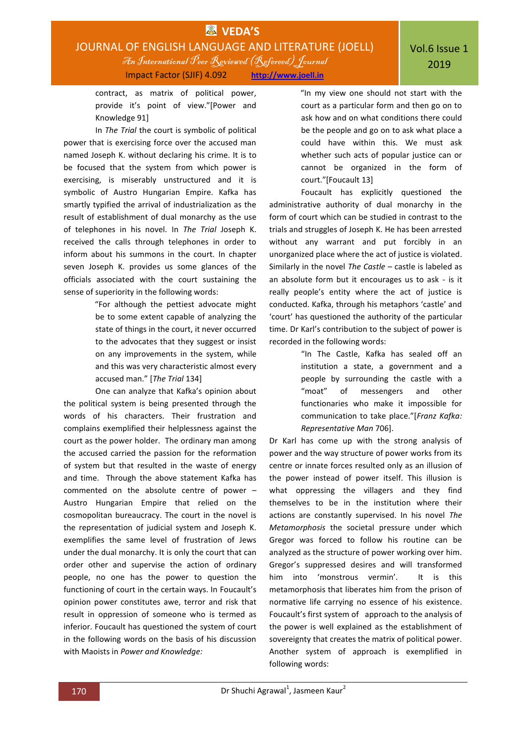

contract, as matrix of political power, provide it's point of view."[Power and Knowledge 91]

In *The Trial* the court is symbolic of political power that is exercising force over the accused man named Joseph K. without declaring his crime. It is to be focused that the system from which power is exercising, is miserably unstructured and it is symbolic of Austro Hungarian Empire. Kafka has smartly typified the arrival of industrialization as the result of establishment of dual monarchy as the use of telephones in his novel. In *The Trial* Joseph K. received the calls through telephones in order to inform about his summons in the court. In chapter seven Joseph K. provides us some glances of the officials associated with the court sustaining the sense of superiority in the following words:

> "For although the pettiest advocate might be to some extent capable of analyzing the state of things in the court, it never occurred to the advocates that they suggest or insist on any improvements in the system, while and this was very characteristic almost every accused man." [*The Trial* 134]

One can analyze that Kafka's opinion about the political system is being presented through the words of his characters. Their frustration and complains exemplified their helplessness against the court as the power holder. The ordinary man among the accused carried the passion for the reformation of system but that resulted in the waste of energy and time. Through the above statement Kafka has commented on the absolute centre of power – Austro Hungarian Empire that relied on the cosmopolitan bureaucracy. The court in the novel is the representation of judicial system and Joseph K. exemplifies the same level of frustration of Jews under the dual monarchy. It is only the court that can order other and supervise the action of ordinary people, no one has the power to question the functioning of court in the certain ways. In Foucault's opinion power constitutes awe, terror and risk that result in oppression of someone who is termed as inferior. Foucault has questioned the system of court in the following words on the basis of his discussion with Maoists in *Power and Knowledge:*

"In my view one should not start with the court as a particular form and then go on to ask how and on what conditions there could be the people and go on to ask what place a could have within this. We must ask whether such acts of popular justice can or cannot be organized in the form of court."[Foucault 13]

Foucault has explicitly questioned the administrative authority of dual monarchy in the form of court which can be studied in contrast to the trials and struggles of Joseph K. He has been arrested without any warrant and put forcibly in an unorganized place where the act of justice is violated. Similarly in the novel *The Castle –* castle is labeled as an absolute form but it encourages us to ask - is it really people's entity where the act of justice is conducted. Kafka, through his metaphors 'castle' and 'court' has questioned the authority of the particular time. Dr Karl's contribution to the subject of power is recorded in the following words:

> "In The Castle, Kafka has sealed off an institution a state, a government and a people by surrounding the castle with a "moat" of messengers and other functionaries who make it impossible for communication to take place."[*Franz Kafka: Representative Man* 706].

Dr Karl has come up with the strong analysis of power and the way structure of power works from its centre or innate forces resulted only as an illusion of the power instead of power itself. This illusion is what oppressing the villagers and they find themselves to be in the institution where their actions are constantly supervised. In his novel *The Metamorphosis* the societal pressure under which Gregor was forced to follow his routine can be analyzed as the structure of power working over him. Gregor's suppressed desires and will transformed him into 'monstrous vermin'. It is this metamorphosis that liberates him from the prison of normative life carrying no essence of his existence. Foucault's first system of approach to the analysis of the power is well explained as the establishment of sovereignty that creates the matrix of political power. Another system of approach is exemplified in following words: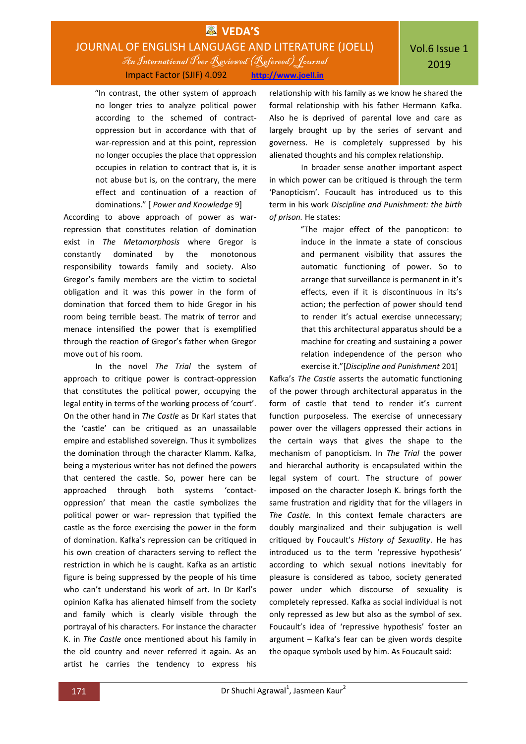# **EX** VEDA'S JOURNAL OF ENGLISH LANGUAGE AND LITERATURE (JOELL) An International Peer Reviewed (Refereed)Journal

Impact Factor (SJIF) 4.092 **http://www.joell.in**

"In contrast, the other system of approach no longer tries to analyze political power according to the schemed of contractoppression but in accordance with that of war-repression and at this point, repression no longer occupies the place that oppression occupies in relation to contract that is, it is not abuse but is, on the contrary, the mere effect and continuation of a reaction of dominations." [ *Power and Knowledge* 9]

According to above approach of power as warrepression that constitutes relation of domination exist in *The Metamorphosis* where Gregor is constantly dominated by the monotonous responsibility towards family and society. Also Gregor's family members are the victim to societal obligation and it was this power in the form of domination that forced them to hide Gregor in his room being terrible beast. The matrix of terror and menace intensified the power that is exemplified through the reaction of Gregor's father when Gregor move out of his room.

In the novel *The Trial* the system of approach to critique power is contract-oppression that constitutes the political power, occupying the legal entity in terms of the working process of 'court'. On the other hand in *The Castle* as Dr Karl states that the 'castle' can be critiqued as an unassailable empire and established sovereign. Thus it symbolizes the domination through the character Klamm. Kafka, being a mysterious writer has not defined the powers that centered the castle. So, power here can be approached through both systems 'contactoppression' that mean the castle symbolizes the political power or war- repression that typified the castle as the force exercising the power in the form of domination. Kafka's repression can be critiqued in his own creation of characters serving to reflect the restriction in which he is caught. Kafka as an artistic figure is being suppressed by the people of his time who can't understand his work of art. In Dr Karl's opinion Kafka has alienated himself from the society and family which is clearly visible through the portrayal of his characters. For instance the character K. in *The Castle* once mentioned about his family in the old country and never referred it again. As an artist he carries the tendency to express his

relationship with his family as we know he shared the formal relationship with his father Hermann Kafka. Also he is deprived of parental love and care as largely brought up by the series of servant and governess. He is completely suppressed by his alienated thoughts and his complex relationship.

In broader sense another important aspect in which power can be critiqued is through the term 'Panopticism'. Foucault has introduced us to this term in his work *Discipline and Punishment: the birth of prison.* He states:

> "The major effect of the panopticon: to induce in the inmate a state of conscious and permanent visibility that assures the automatic functioning of power. So to arrange that surveillance is permanent in it's effects, even if it is discontinuous in its's action; the perfection of power should tend to render it's actual exercise unnecessary; that this architectural apparatus should be a machine for creating and sustaining a power relation independence of the person who exercise it."[*Discipline and Punishment* 201]

Kafka's *The Castle* asserts the automatic functioning of the power through architectural apparatus in the form of castle that tend to render it's current function purposeless. The exercise of unnecessary power over the villagers oppressed their actions in the certain ways that gives the shape to the mechanism of panopticism. In *The Trial* the power and hierarchal authority is encapsulated within the legal system of court. The structure of power imposed on the character Joseph K. brings forth the same frustration and rigidity that for the villagers in *The Castle.* In this context female characters are doubly marginalized and their subjugation is well critiqued by Foucault's *History of Sexuality*. He has introduced us to the term 'repressive hypothesis' according to which sexual notions inevitably for pleasure is considered as taboo, society generated power under which discourse of sexuality is completely repressed. Kafka as social individual is not only repressed as Jew but also as the symbol of sex. Foucault's idea of 'repressive hypothesis' foster an argument – Kafka's fear can be given words despite the opaque symbols used by him. As Foucault said: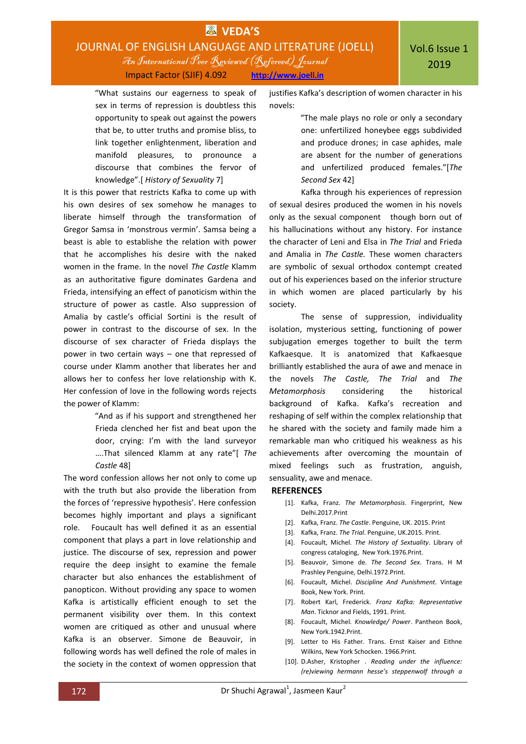

"What sustains our eagerness to speak of sex in terms of repression is doubtless this opportunity to speak out against the powers that be, to utter truths and promise bliss, to link together enlightenment, liberation and manifold pleasures, to pronounce a discourse that combines the fervor of knowledge".[ *History of Sexuality* 7]

It is this power that restricts Kafka to come up with his own desires of sex somehow he manages to liberate himself through the transformation of Gregor Samsa in 'monstrous vermin'. Samsa being a beast is able to establishe the relation with power that he accomplishes his desire with the naked women in the frame. In the novel *The Castle* Klamm as an authoritative figure dominates Gardena and Frieda, intensifying an effect of panoticism within the structure of power as castle. Also suppression of Amalia by castle's official Sortini is the result of power in contrast to the discourse of sex. In the discourse of sex character of Frieda displays the power in two certain ways – one that repressed of course under Klamm another that liberates her and allows her to confess her love relationship with K. Her confession of love in the following words rejects the power of Klamm:

> "And as if his support and strengthened her Frieda clenched her fist and beat upon the door, crying: I'm with the land surveyor ….That silenced Klamm at any rate"[ *The Castle* 48]

The word confession allows her not only to come up with the truth but also provide the liberation from the forces of 'repressive hypothesis'. Here confession becomes highly important and plays a significant role. Foucault has well defined it as an essential component that plays a part in love relationship and justice. The discourse of sex, repression and power require the deep insight to examine the female character but also enhances the establishment of panopticon. Without providing any space to women Kafka is artistically efficient enough to set the permanent visibility over them. In this context women are critiqued as other and unusual where Kafka is an observer. Simone de Beauvoir, in following words has well defined the role of males in the society in the context of women oppression that justifies Kafka's description of women character in his novels:

> "The male plays no role or only a secondary one: unfertilized honeybee eggs subdivided and produce drones; in case aphides, male are absent for the number of generations and unfertilized produced females."[*The Second Sex* 42]

Kafka through his experiences of repression of sexual desires produced the women in his novels only as the sexual component though born out of his hallucinations without any history. For instance the character of Leni and Elsa in *The Trial* and Frieda and Amalia in *The Castle.* These women characters are symbolic of sexual orthodox contempt created out of his experiences based on the inferior structure in which women are placed particularly by his society.

The sense of suppression, individuality isolation, mysterious setting, functioning of power subjugation emerges together to built the term Kafkaesque. It is anatomized that Kafkaesque brilliantly established the aura of awe and menace in the novels *The Castle, The Trial* and *The Metamorphosis* considering the historical background of Kafka. Kafka's recreation and reshaping of self within the complex relationship that he shared with the society and family made him a remarkable man who critiqued his weakness as his achievements after overcoming the mountain of mixed feelings such as frustration, anguish, sensuality, awe and menace.

#### **REFERENCES**

- [1]. Kafka, Franz. *The Metamorphosis*. Fingerprint, New Delhi.2017.Print
- [2]. Kafka, Franz. *The Castle*. Penguine, UK. 2015. Print
- [3]. Kafka, Franz. *The Trial*. Penguine, UK.2015. Print.
- [4]. Foucault, Michel. *The History of Sextuality*. Library of congress cataloging, New York.1976.Print.
- [5]. Beauvoir, Simone de. *The Second Sex*. Trans. H M Prashley Penguine, Delhi.1972.Print.
- [6]. Foucault, Michel. *Discipline And Punishment*. Vintage Book, New York. Print.
- [7]. Robert Karl, Frederick. *Franz Kafka: Representative Man*. Ticknor and Fields, 1991. Print.
- [8]. Foucault, Michel*. Knowledge/ Power*. Pantheon Book, New York.1942.Print.
- [9]. Letter to His Father. Trans. Ernst Kaiser and Eithne Wilkins, New York Schocken. 1966.Print.
- [10]. D.Asher, Kristopher . *Reading under the influence: (re)viewing hermann hesse's steppenwolf through a*